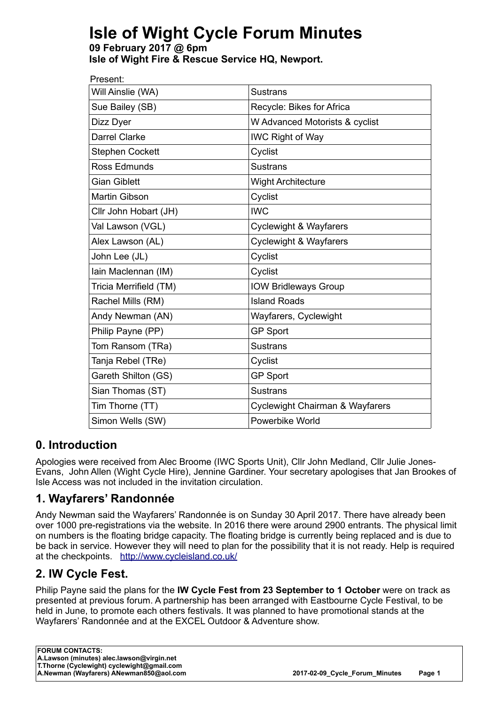# **Isle of Wight Cycle Forum Minutes**

**09 February 2017 @ 6pm Isle of Wight Fire & Rescue Service HQ, Newport.**

| Present:               |                                            |
|------------------------|--------------------------------------------|
| Will Ainslie (WA)      | <b>Sustrans</b>                            |
| Sue Bailey (SB)        | Recycle: Bikes for Africa                  |
| Dizz Dyer              | W Advanced Motorists & cyclist             |
| Darrel Clarke          | <b>IWC Right of Way</b>                    |
| <b>Stephen Cockett</b> | Cyclist                                    |
| Ross Edmunds           | <b>Sustrans</b>                            |
| <b>Gian Giblett</b>    | <b>Wight Architecture</b>                  |
| Martin Gibson          | Cyclist                                    |
| Cllr John Hobart (JH)  | <b>IWC</b>                                 |
| Val Lawson (VGL)       | <b>Cyclewight &amp; Wayfarers</b>          |
| Alex Lawson (AL)       | <b>Cyclewight &amp; Wayfarers</b>          |
| John Lee (JL)          | Cyclist                                    |
| Iain Maclennan (IM)    | Cyclist                                    |
| Tricia Merrifield (TM) | <b>IOW Bridleways Group</b>                |
| Rachel Mills (RM)      | <b>Island Roads</b>                        |
| Andy Newman (AN)       | Wayfarers, Cyclewight                      |
| Philip Payne (PP)      | <b>GP Sport</b>                            |
| Tom Ransom (TRa)       | <b>Sustrans</b>                            |
| Tanja Rebel (TRe)      | Cyclist                                    |
| Gareth Shilton (GS)    | <b>GP Sport</b>                            |
| Sian Thomas (ST)       | <b>Sustrans</b>                            |
| Tim Thorne (TT)        | <b>Cyclewight Chairman &amp; Wayfarers</b> |
| Simon Wells (SW)       | Powerbike World                            |

# **0. Introduction**

Apologies were received from Alec Broome (IWC Sports Unit), Cllr John Medland, Cllr Julie Jones-Evans, John Allen (Wight Cycle Hire), Jennine Gardiner. Your secretary apologises that Jan Brookes of Isle Access was not included in the invitation circulation.

# **1. Wayfarers' Randonnée**

Andy Newman said the Wayfarers' Randonnée is on Sunday 30 April 2017. There have already been over 1000 pre-registrations via the website. In 2016 there were around 2900 entrants. The physical limit on numbers is the floating bridge capacity. The floating bridge is currently being replaced and is due to be back in service. However they will need to plan for the possibility that it is not ready. Help is required at the checkpoints. <http://www.cycleisland.co.uk/>

# **2. IW Cycle Fest.**

Philip Payne said the plans for the **IW Cycle Fest from 23 September to 1 October** were on track as presented at previous forum. A partnership has been arranged with Eastbourne Cycle Festival, to be held in June, to promote each others festivals. It was planned to have promotional stands at the Wayfarers' Randonnée and at the EXCEL Outdoor & Adventure show.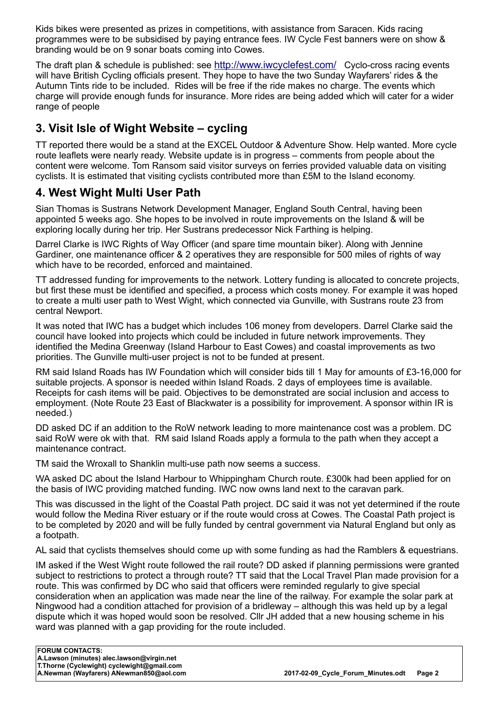Kids bikes were presented as prizes in competitions, with assistance from Saracen. Kids racing programmes were to be subsidised by paying entrance fees. IW Cycle Fest banners were on show & branding would be on 9 sonar boats coming into Cowes.

The draft plan & schedule is published: see <http://www.iwcyclefest.com/> Cyclo-cross racing events will have British Cycling officials present. They hope to have the two Sunday Wayfarers' rides & the Autumn Tints ride to be included. Rides will be free if the ride makes no charge. The events which charge will provide enough funds for insurance. More rides are being added which will cater for a wider range of people

# **3. Visit Isle of Wight Website – cycling**

TT reported there would be a stand at the EXCEL Outdoor & Adventure Show. Help wanted. More cycle route leaflets were nearly ready. Website update is in progress – comments from people about the content were welcome. Tom Ransom said visitor surveys on ferries provided valuable data on visiting cyclists. It is estimated that visiting cyclists contributed more than £5M to the Island economy.

### **4. West Wight Multi User Path**

Sian Thomas is Sustrans Network Development Manager, England South Central, having been appointed 5 weeks ago. She hopes to be involved in route improvements on the Island & will be exploring locally during her trip. Her Sustrans predecessor Nick Farthing is helping.

Darrel Clarke is IWC Rights of Way Officer (and spare time mountain biker). Along with Jennine Gardiner, one maintenance officer & 2 operatives they are responsible for 500 miles of rights of way which have to be recorded, enforced and maintained.

TT addressed funding for improvements to the network. Lottery funding is allocated to concrete projects, but first these must be identified and specified, a process which costs money. For example it was hoped to create a multi user path to West Wight, which connected via Gunville, with Sustrans route 23 from central Newport.

It was noted that IWC has a budget which includes 106 money from developers. Darrel Clarke said the council have looked into projects which could be included in future network improvements. They identified the Medina Greenway (Island Harbour to East Cowes) and coastal improvements as two priorities. The Gunville multi-user project is not to be funded at present.

RM said Island Roads has IW Foundation which will consider bids till 1 May for amounts of £3-16,000 for suitable projects. A sponsor is needed within Island Roads. 2 days of employees time is available. Receipts for cash items will be paid. Objectives to be demonstrated are social inclusion and access to employment. (Note Route 23 East of Blackwater is a possibility for improvement. A sponsor within IR is needed.)

DD asked DC if an addition to the RoW network leading to more maintenance cost was a problem. DC said RoW were ok with that. RM said Island Roads apply a formula to the path when they accept a maintenance contract.

TM said the Wroxall to Shanklin multi-use path now seems a success.

WA asked DC about the Island Harbour to Whippingham Church route. £300k had been applied for on the basis of IWC providing matched funding. IWC now owns land next to the caravan park.

This was discussed in the light of the Coastal Path project. DC said it was not yet determined if the route would follow the Medina River estuary or if the route would cross at Cowes. The Coastal Path project is to be completed by 2020 and will be fully funded by central government via Natural England but only as a footpath.

AL said that cyclists themselves should come up with some funding as had the Ramblers & equestrians.

IM asked if the West Wight route followed the rail route? DD asked if planning permissions were granted subject to restrictions to protect a through route? TT said that the Local Travel Plan made provision for a route. This was confirmed by DC who said that officers were reminded regularly to give special consideration when an application was made near the line of the railway. For example the solar park at Ningwood had a condition attached for provision of a bridleway – although this was held up by a legal dispute which it was hoped would soon be resolved. Cllr JH added that a new housing scheme in his ward was planned with a gap providing for the route included.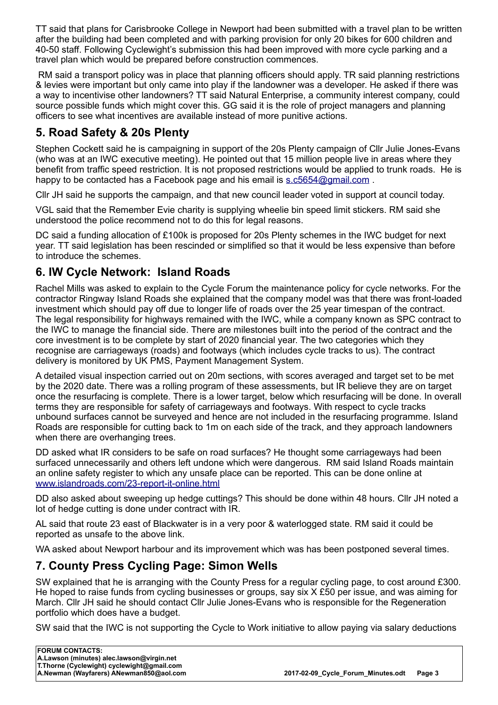TT said that plans for Carisbrooke College in Newport had been submitted with a travel plan to be written after the building had been completed and with parking provision for only 20 bikes for 600 children and 40-50 staff. Following Cyclewight's submission this had been improved with more cycle parking and a travel plan which would be prepared before construction commences.

 RM said a transport policy was in place that planning officers should apply. TR said planning restrictions & levies were important but only came into play if the landowner was a developer. He asked if there was a way to incentivise other landowners? TT said Natural Enterprise, a community interest company, could source possible funds which might cover this. GG said it is the role of project managers and planning officers to see what incentives are available instead of more punitive actions.

# **5. Road Safety & 20s Plenty**

Stephen Cockett said he is campaigning in support of the 20s Plenty campaign of Cllr Julie Jones-Evans (who was at an IWC executive meeting). He pointed out that 15 million people live in areas where they benefit from traffic speed restriction. It is not proposed restrictions would be applied to trunk roads. He is happy to be contacted has a Facebook page and his email is s.c5654@gmail.com.

Cllr JH said he supports the campaign, and that new council leader voted in support at council today.

VGL said that the Remember Evie charity is supplying wheelie bin speed limit stickers. RM said she understood the police recommend not to do this for legal reasons.

DC said a funding allocation of £100k is proposed for 20s Plenty schemes in the IWC budget for next year. TT said legislation has been rescinded or simplified so that it would be less expensive than before to introduce the schemes.

# **6. IW Cycle Network: Island Roads**

Rachel Mills was asked to explain to the Cycle Forum the maintenance policy for cycle networks. For the contractor Ringway Island Roads she explained that the company model was that there was front-loaded investment which should pay off due to longer life of roads over the 25 year timespan of the contract. The legal responsibility for highways remained with the IWC, while a company known as SPC contract to the IWC to manage the financial side. There are milestones built into the period of the contract and the core investment is to be complete by start of 2020 financial year. The two categories which they recognise are carriageways (roads) and footways (which includes cycle tracks to us). The contract delivery is monitored by UK PMS, Payment Management System.

A detailed visual inspection carried out on 20m sections, with scores averaged and target set to be met by the 2020 date. There was a rolling program of these assessments, but IR believe they are on target once the resurfacing is complete. There is a lower target, below which resurfacing will be done. In overall terms they are responsible for safety of carriageways and footways. With respect to cycle tracks unbound surfaces cannot be surveyed and hence are not included in the resurfacing programme. Island Roads are responsible for cutting back to 1m on each side of the track, and they approach landowners when there are overhanging trees.

DD asked what IR considers to be safe on road surfaces? He thought some carriageways had been surfaced unnecessarily and others left undone which were dangerous. RM said Island Roads maintain an online safety register to which any unsafe place can be reported. This can be done online at [www.islandroads.com/23-report-it-online.html](http://www.islandroads.com/23-report-it-online.html) 

DD also asked about sweeping up hedge cuttings? This should be done within 48 hours. Cllr JH noted a lot of hedge cutting is done under contract with IR.

AL said that route 23 east of Blackwater is in a very poor & waterlogged state. RM said it could be reported as unsafe to the above link.

WA asked about Newport harbour and its improvement which was has been postponed several times.

# **7. County Press Cycling Page: Simon Wells**

SW explained that he is arranging with the County Press for a regular cycling page, to cost around £300. He hoped to raise funds from cycling businesses or groups, say six X £50 per issue, and was aiming for March. Cllr JH said he should contact Cllr Julie Jones-Evans who is responsible for the Regeneration portfolio which does have a budget.

SW said that the IWC is not supporting the Cycle to Work initiative to allow paying via salary deductions